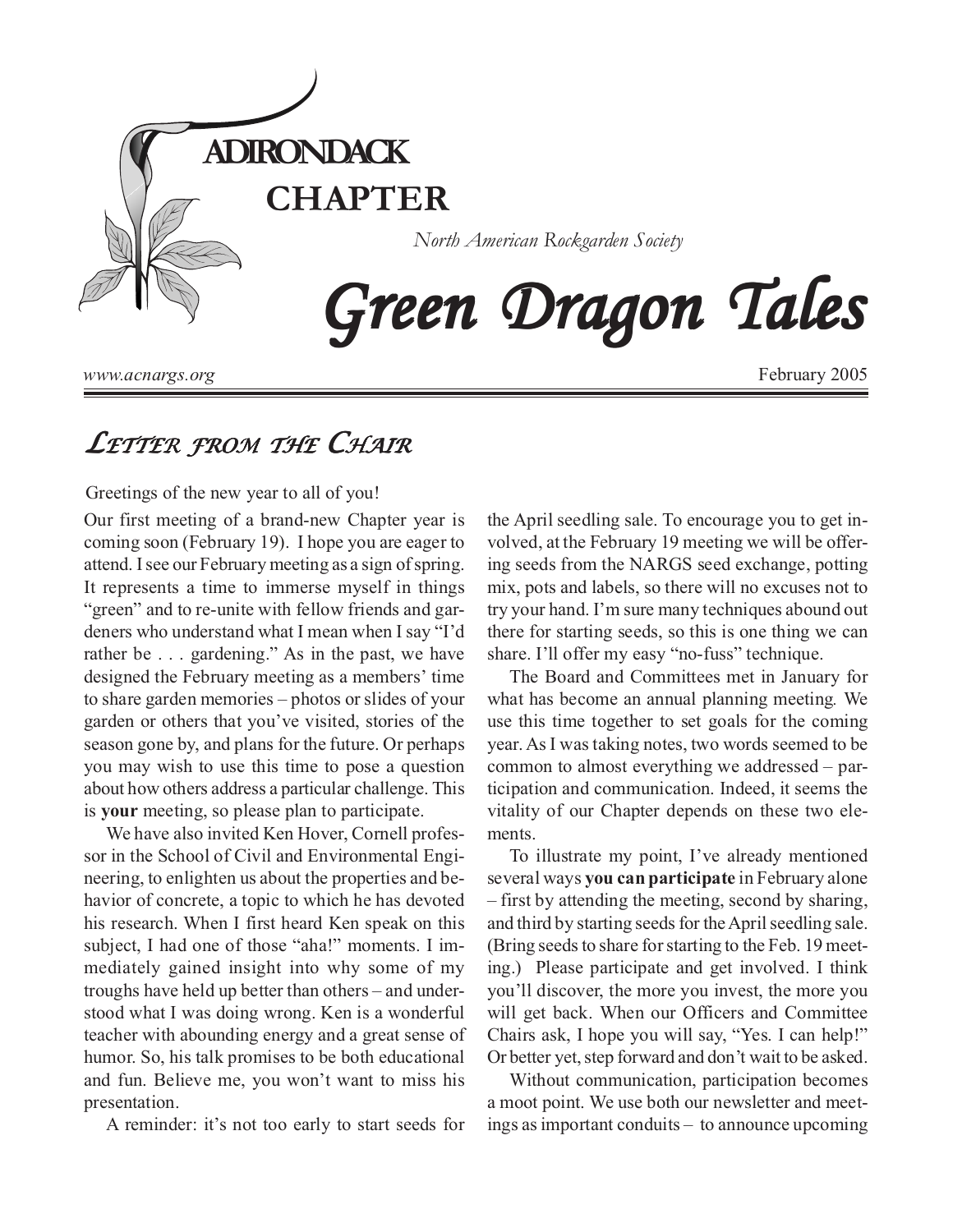

*www.acnargs.org*

February 2005

## *LETTER FROM THE CHAIR*

Greetings of the new year to all of you!

Our first meeting of a brand-new Chapter year is coming soon (February 19). I hope you are eager to attend. I see our February meeting as a sign of spring. It represents a time to immerse myself in things "green" and to re-unite with fellow friends and gardeners who understand what I mean when I say "I'd rather be . . . gardening." As in the past, we have designed the February meeting as a members' time to share garden memories – photos or slides of your garden or others that you've visited, stories of the season gone by, and plans for the future. Or perhaps you may wish to use this time to pose a question about how others address a particular challenge. This is **your** meeting, so please plan to participate.

We have also invited Ken Hover, Cornell professor in the School of Civil and Environmental Engineering, to enlighten us about the properties and behavior of concrete, a topic to which he has devoted his research. When I first heard Ken speak on this subject, I had one of those "aha!" moments. I immediately gained insight into why some of my troughs have held up better than others – and understood what I was doing wrong. Ken is a wonderful teacher with abounding energy and a great sense of humor. So, his talk promises to be both educational and fun. Believe me, you won't want to miss his presentation.

A reminder: it's not too early to start seeds for

the April seedling sale. To encourage you to get involved, at the February 19 meeting we will be offering seeds from the NARGS seed exchange, potting mix, pots and labels, so there will no excuses not to try your hand. I'm sure many techniques abound out there for starting seeds, so this is one thing we can share. I'll offer my easy "no-fuss" technique.

The Board and Committees met in January for what has become an annual planning meeting*.* We use this time together to set goals for the coming year. As I was taking notes, two words seemed to be common to almost everything we addressed – participation and communication. Indeed, it seems the vitality of our Chapter depends on these two elements.

To illustrate my point, I've already mentioned several ways **you can participate** in February alone – first by attending the meeting, second by sharing, and third by starting seeds for the April seedling sale. (Bring seeds to share for starting to the Feb. 19 meeting.) Please participate and get involved. I think you'll discover, the more you invest, the more you will get back. When our Officers and Committee Chairs ask, I hope you will say, "Yes. I can help!" Or better yet, step forward and don't wait to be asked.

Without communication, participation becomes a moot point. We use both our newsletter and meetings as important conduits – to announce upcoming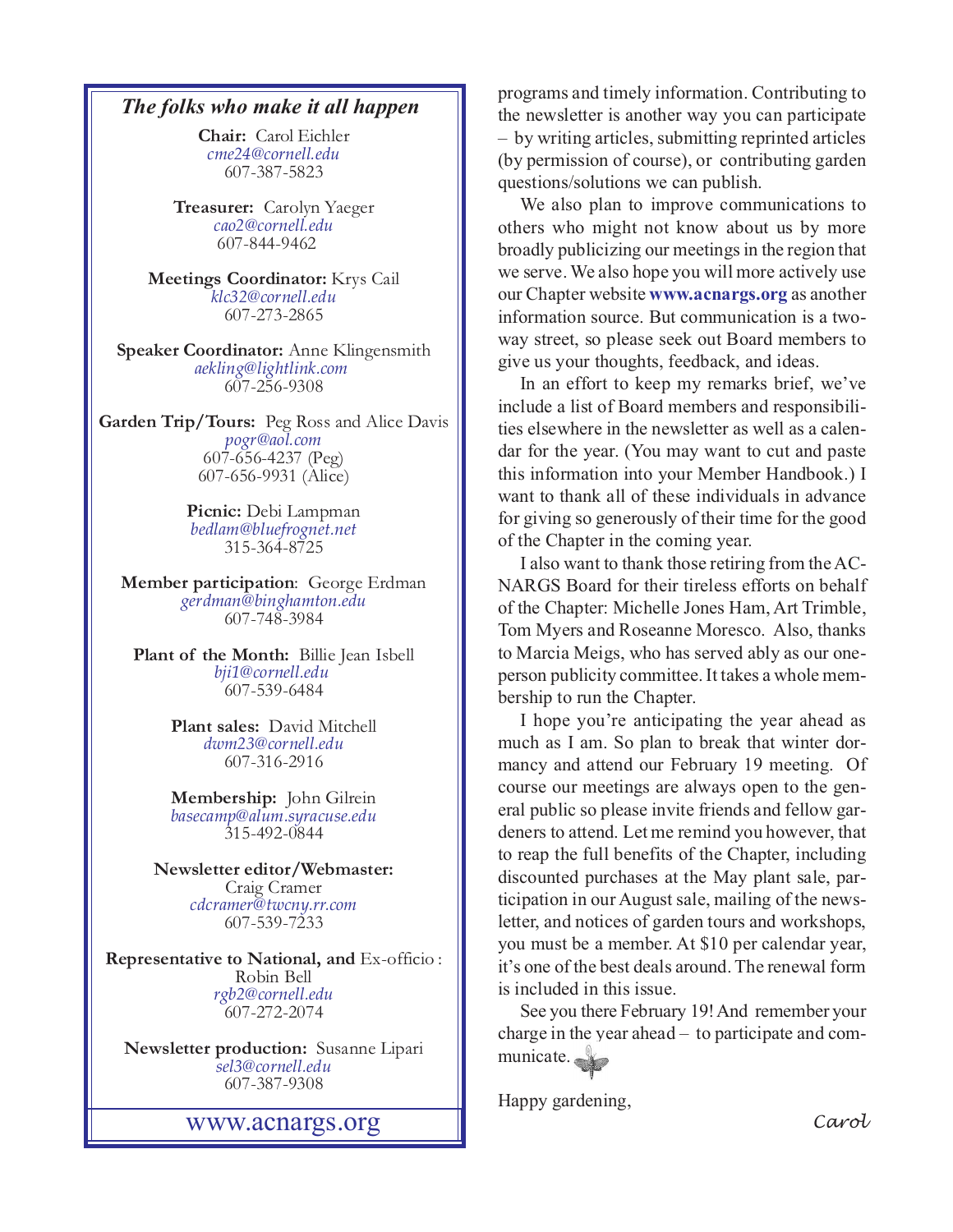**Chair:** Carol Eichler *[cme24@cornell.edu](mailto:cme24@cornell.ed)* 607-387-5823

**Treasurer:** Carolyn Yaeger *[cao2@cornell.edu](mailto:cao2@cornell.edu)* 607-844-9462

**Meetings Coordinator:** Krys Cail *[klc32@cornell.edu](mailto:klc32@cornell.edu)* 607-273-2865

**Speaker Coordinator:** Anne Klingensmith *[aekling@lightlink.com](mailto:aekling@lightlink.com)*  607-256-9308

**Garden Trip/Tours:** Peg Ross and Alice Davis *[pogr@aol.com](mailto:pogr@aol.com)* 607-656-4237 (Peg) 607-656-9931 (Alice)

> **Picnic:** Debi Lampman *[bedlam@bluefrognet.net](mailto:bedlam@bluefrognet.net)* 315-364-8725

**Member participation**: George Erdman *[gerdman@binghamton.edu](Mailto:gerdman@binghamton.edu)* 607-748-3984

**Plant of the Month:** Billie Jean Isbell *[bji1@cornell.edu](mailto: bji1@cornell.edu|)*  607-539-6484

> **Plant sales:** David Mitchell *[dwm23@cornell.edu](mailto:dwm23@cornell.edu)* 607-316-2916

> **Membership:** John Gilrein *[basecamp@alum.syracuse.edu](mailto:basecamp@alum.syracuse.edu)* 315-492-0844

**Newsletter editor/Webmaster:** Craig Cramer *[cdcramer@twcny.rr.com](Mailto:cdcramer@twcny.rr.com)* 607-539-7233

**Representative to National, and** Ex-officio : Robin Bell *[rgb2@cornell.edu](mailto:rgb2@cornell.edu)* 607-272-2074

**Newsletter production:** Susanne Lipari *[sel3@cornell.edu](mailto:sel3@cornell.edu)* 607-387-9308

<www.acnargs.org> *Carol*

**The folks who make it all happen** programs and timely information. Contributing to the newsletter is another way you can participate the newsletter is another way you can participate – by writing articles, submitting reprinted articles (by permission of course), or contributing garden questions/solutions we can publish.

> We also plan to improve communications to others who might not know about us by more broadly publicizing our meetings in the region that we serve. We also hope you will more actively use our Chapter website **<www.acnargs.org>** as another information source. But communication is a twoway street, so please seek out Board members to give us your thoughts, feedback, and ideas.

> In an effort to keep my remarks brief, we've include a list of Board members and responsibilities elsewhere in the newsletter as well as a calendar for the year. (You may want to cut and paste this information into your Member Handbook.) I want to thank all of these individuals in advance for giving so generously of their time for the good of the Chapter in the coming year.

> I also want to thank those retiring from the AC-NARGS Board for their tireless efforts on behalf of the Chapter: Michelle Jones Ham, Art Trimble, Tom Myers and Roseanne Moresco. Also, thanks to Marcia Meigs, who has served ably as our oneperson publicity committee. It takes a whole membership to run the Chapter.

> I hope you're anticipating the year ahead as much as I am. So plan to break that winter dormancy and attend our February 19 meeting. Of course our meetings are always open to the general public so please invite friends and fellow gardeners to attend. Let me remind you however, that to reap the full benefits of the Chapter, including discounted purchases at the May plant sale, participation in our August sale, mailing of the newsletter, and notices of garden tours and workshops, you must be a member. At \$10 per calendar year, it's one of the best deals around. The renewal form is included in this issue.

> See you there February 19! And remember your charge in the year ahead – to participate and communicate.

Happy gardening,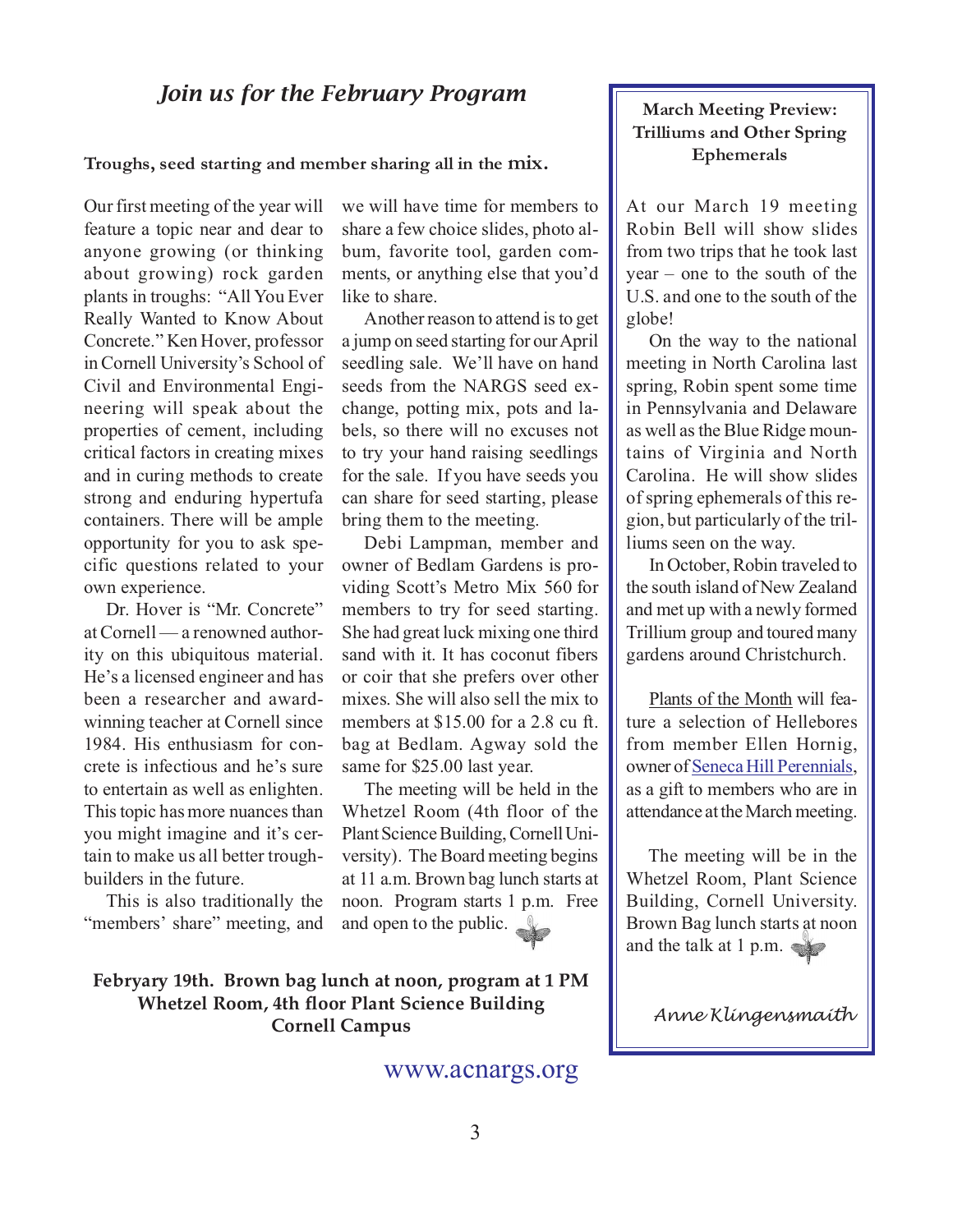## *Join us for the February Program*

**Troughs, seed starting and member sharing all in the mix.**

Our first meeting of the year will feature a topic near and dear to anyone growing (or thinking about growing) rock garden plants in troughs: "All You Ever Really Wanted to Know About Concrete." Ken Hover, professor in Cornell University's School of Civil and Environmental Engineering will speak about the properties of cement, including critical factors in creating mixes and in curing methods to create strong and enduring hypertufa containers. There will be ample opportunity for you to ask specific questions related to your own experience.

Dr. Hover is "Mr. Concrete" at Cornell — a renowned authority on this ubiquitous material. He's a licensed engineer and has been a researcher and awardwinning teacher at Cornell since 1984. His enthusiasm for concrete is infectious and he's sure to entertain as well as enlighten. This topic has more nuances than you might imagine and it's certain to make us all better troughbuilders in the future.

This is also traditionally the "members' share" meeting, and

we will have time for members to share a few choice slides, photo album, favorite tool, garden comments, or anything else that you'd like to share.

Another reason to attend is to get a jump on seed starting for our April seedling sale. We'll have on hand seeds from the NARGS seed exchange, potting mix, pots and labels, so there will no excuses not to try your hand raising seedlings for the sale. If you have seeds you can share for seed starting, please bring them to the meeting.

Debi Lampman, member and owner of Bedlam Gardens is providing Scott's Metro Mix 560 for members to try for seed starting. She had great luck mixing one third sand with it. It has coconut fibers or coir that she prefers over other mixes. She will also sell the mix to members at \$15.00 for a 2.8 cu ft. bag at Bedlam. Agway sold the same for \$25.00 last year.

The meeting will be held in the Whetzel Room (4th floor of the Plant Science Building, Cornell University). The Board meeting begins at 11 a.m. Brown bag lunch starts at noon. Program starts 1 p.m. Free and open to the public.

**March Meeting Preview: Trilliums and Other Spring Ephemerals**

At our March 19 meeting Robin Bell will show slides from two trips that he took last year – one to the south of the U.S. and one to the south of the globe!

On the way to the national meeting in North Carolina last spring, Robin spent some time in Pennsylvania and Delaware as well as the Blue Ridge mountains of Virginia and North Carolina. He will show slides of spring ephemerals of this region, but particularly of the trilliums seen on the way.

In October, Robin traveled to the south island of New Zealand and met up with a newly formed Trillium group and toured many gardens around Christchurch.

Plants of the Month will feature a selection of Hellebores from member Ellen Hornig, owner of [Seneca Hill Perennials](http://www.senecahill.com/), as a gift to members who are in attendance at the March meeting.

The meeting will be in the Whetzel Room, Plant Science Building, Cornell University. Brown Bag lunch starts at noon and the talk at 1 p.m.

**Febryary 19th. Brown bag lunch at noon, program at 1 PM Whetzel Room, 4th floor Plant Science Building Cornell Campus**

#### <www.acnargs.org>

*Anne Klingensmaith*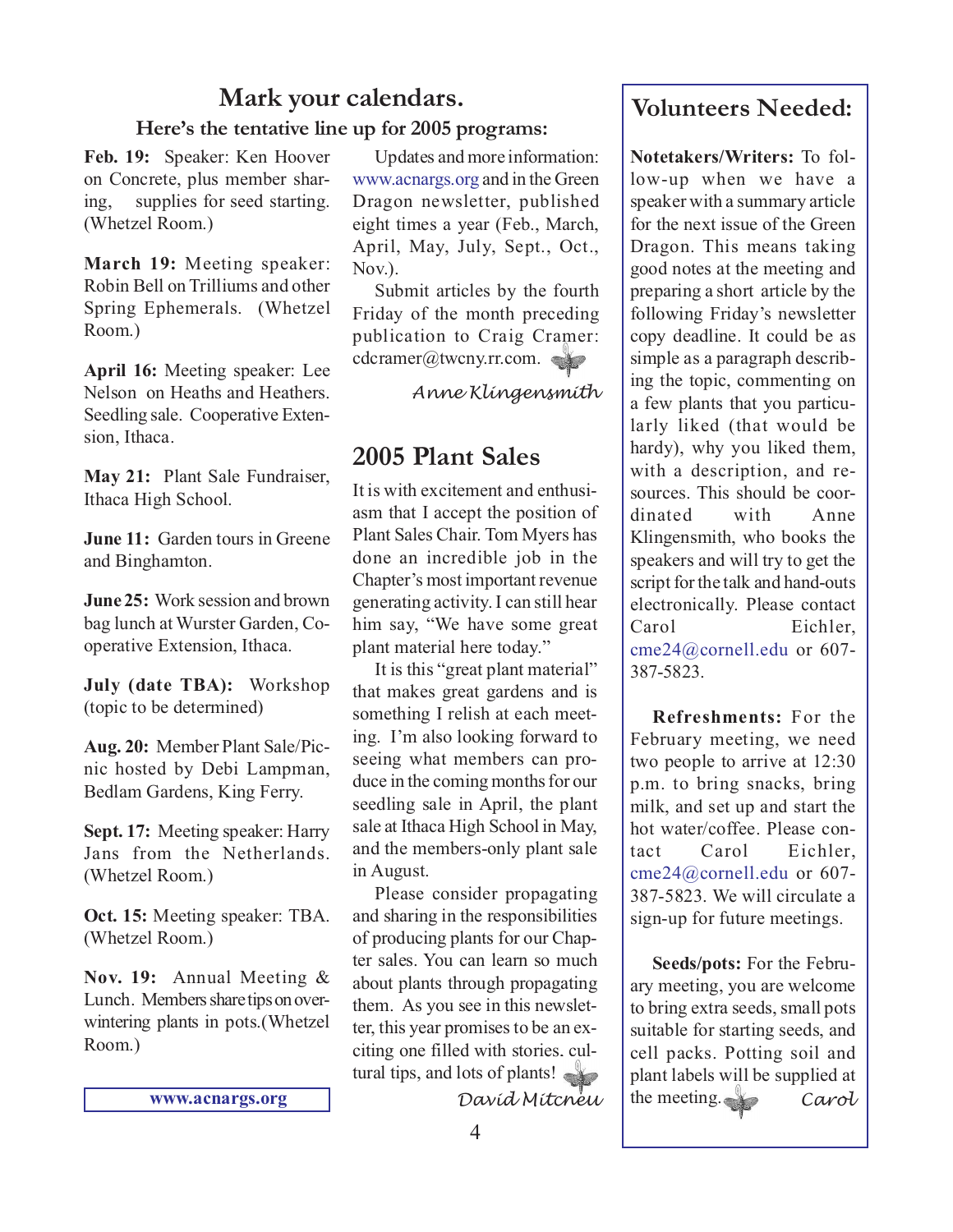# **Mark your calendars.**

### **Here's the tentative line up for 2005 programs:**

**Feb. 19:** Speaker: Ken Hoover on Concrete, plus member sharing, supplies for seed starting. (Whetzel Room.)

**March 19:** Meeting speaker: Robin Bell on Trilliums and other Spring Ephemerals. (Whetzel Room.)

**April 16:** Meeting speaker: Lee Nelson on Heaths and Heathers. Seedling sale. Cooperative Extension, Ithaca.

**May 21:** Plant Sale Fundraiser, Ithaca High School.

**June 11:** Garden tours in Greene and Binghamton.

**June 25:** Work session and brown bag lunch at Wurster Garden, Cooperative Extension, Ithaca.

**July (date TBA):** Workshop (topic to be determined)

**Aug. 20:** Member Plant Sale/Picnic hosted by Debi Lampman, Bedlam Gardens, King Ferry.

**Sept. 17:** Meeting speaker: Harry Jans from the Netherlands. (Whetzel Room.)

**Oct. 15:** Meeting speaker: TBA. (Whetzel Room.)

**Nov. 19:** Annual Meeting & Lunch. Members share tips on overwintering plants in pots.(Whetzel Room.)

**<www.acnargs.org>**

Updates and more information: <www.acnargs.org>and in the Green Dragon newsletter, published eight times a year (Feb., March, April, May, July, Sept., Oct., Nov.).

Submit articles by the fourth Friday of the month preceding publication to Craig Cramer: cdcramer@twcny.rr.com.

*Anne Klingensmith*

## **2005 Plant Sales**

It is with excitement and enthusiasm that I accept the position of Plant Sales Chair. Tom Myers has done an incredible job in the Chapter's most important revenue generating activity. I can still hear him say, "We have some great plant material here today."

It is this "great plant material" that makes great gardens and is something I relish at each meeting. I'm also looking forward to seeing what members can produce in the coming months for our seedling sale in April, the plant sale at Ithaca High School in May, and the members-only plant sale in August.

Please consider propagating and sharing in the responsibilities of producing plants for our Chapter sales. You can learn so much about plants through propagating them. As you see in this newsletter, this year promises to be an exciting one filled with stories, cultural tips, and lots of plants!

*David Mitchell*

## **Volunteers Needed:**

**Notetakers/Writers:** To follow-up when we have a speaker with a summary article for the next issue of the Green Dragon. This means taking good notes at the meeting and preparing a short article by the following Friday's newsletter copy deadline. It could be as simple as a paragraph describing the topic, commenting on a few plants that you particularly liked (that would be hardy), why you liked them, with a description, and resources. This should be coordinated with Anne Klingensmith, who books the speakers and will try to get the script for the talk and hand-outs electronically. Please contact Carol Eichler, [cme24@cornell.edu](mailto:cme24@cornell.ed) or 607- 387-5823.

**Refreshments:** For the February meeting, we need two people to arrive at 12:30 p.m. to bring snacks, bring milk, and set up and start the hot water/coffee. Please contact Carol Eichler, [cme24@cornell.edu](mailto:cme24@cornell.ed) or 607- 387-5823. We will circulate a sign-up for future meetings.

**Seeds/pots:** For the February meeting, you are welcome to bring extra seeds, small pots suitable for starting seeds, and cell packs. Potting soil and plant labels will be supplied at the meeting. *Carol*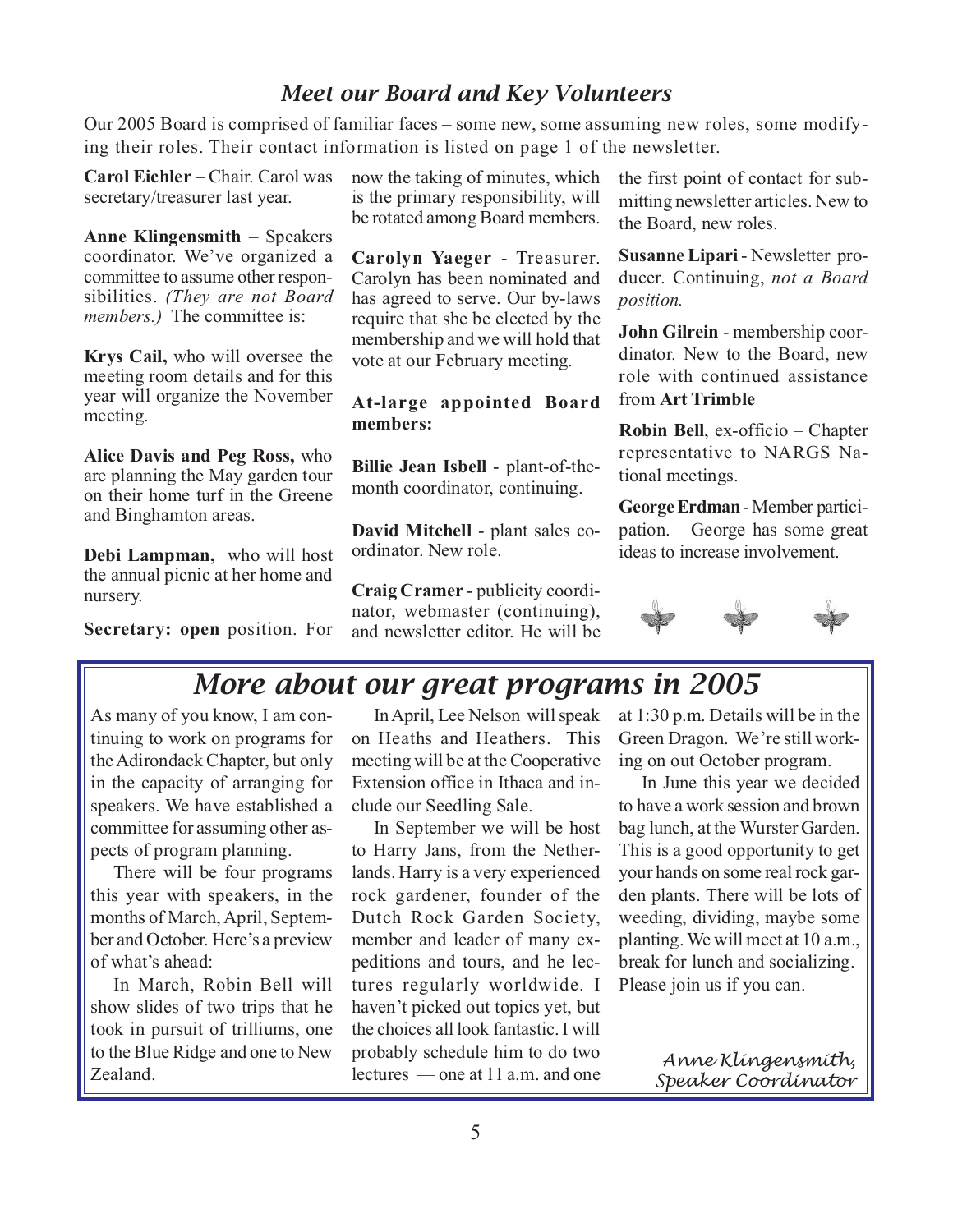## *Meet our Board and Key Volunteers*

Our 2005 Board is comprised of familiar faces – some new, some assuming new roles, some modifying their roles. Their contact information is listed on page 1 of the newsletter.

**Carol Eichler** – Chair. Carol was secretary/treasurer last year.

**Anne Klingensmith** – Speakers coordinator. We've organized a committee to assume other responsibilities. *(They are not Board members.*) The committee is:

**Krys Cail,** who will oversee the meeting room details and for this year will organize the November meeting.

**Alice Davis and Peg Ross,** who are planning the May garden tour on their home turf in the Greene and Binghamton areas.

**Debi Lampman,** who will host the annual picnic at her home and nursery.

**Secretary: open** position. For

now the taking of minutes, which is the primary responsibility, will be rotated among Board members.

**Carolyn Yaeger** - Treasurer. Carolyn has been nominated and has agreed to serve. Our by-laws require that she be elected by the membership and we will hold that vote at our February meeting.

#### **At-large appointed Board members:**

**Billie Jean Isbell** - plant-of-themonth coordinator, continuing.

**David Mitchell** - plant sales coordinator. New role.

**Craig Cramer** - publicity coordinator, webmaster (continuing), and newsletter editor. He will be the first point of contact for submitting newsletter articles. New to the Board, new roles.

**Susanne Lipari** - Newsletter producer. Continuing, *not a Board position.*

**John Gilrein** - membership coordinator. New to the Board, new role with continued assistance from **Art Trimble**

**Robin Bell**, ex-officio – Chapter representative to NARGS National meetings.

**George Erdman**- Member participation. George has some great ideas to increase involvement.



# *More about our great programs in 2005*

As many of you know, I am continuing to work on programs for the Adirondack Chapter, but only in the capacity of arranging for speakers. We have established a committee for assuming other aspects of program planning.

There will be four programs this year with speakers, in the months of March, April, September and October. Here's a preview of what's ahead:

In March, Robin Bell will show slides of two trips that he took in pursuit of trilliums, one to the Blue Ridge and one to New Zealand.

In April, Lee Nelson will speak on Heaths and Heathers. This meeting will be at the Cooperative Extension office in Ithaca and include our Seedling Sale.

In September we will be host to Harry Jans, from the Netherlands. Harry is a very experienced rock gardener, founder of the Dutch Rock Garden Society, member and leader of many expeditions and tours, and he lectures regularly worldwide. I haven't picked out topics yet, but the choices all look fantastic. I will probably schedule him to do two lectures — one at 11 a.m. and one

at 1:30 p.m. Details will be in the Green Dragon. We're still working on out October program.

In June this year we decided to have a work session and brown bag lunch, at the Wurster Garden. This is a good opportunity to get your hands on some real rock garden plants. There will be lots of weeding, dividing, maybe some planting. We will meet at 10 a.m., break for lunch and socializing. Please join us if you can.

> *Anne Klingensmith, Speaker Coordinator*